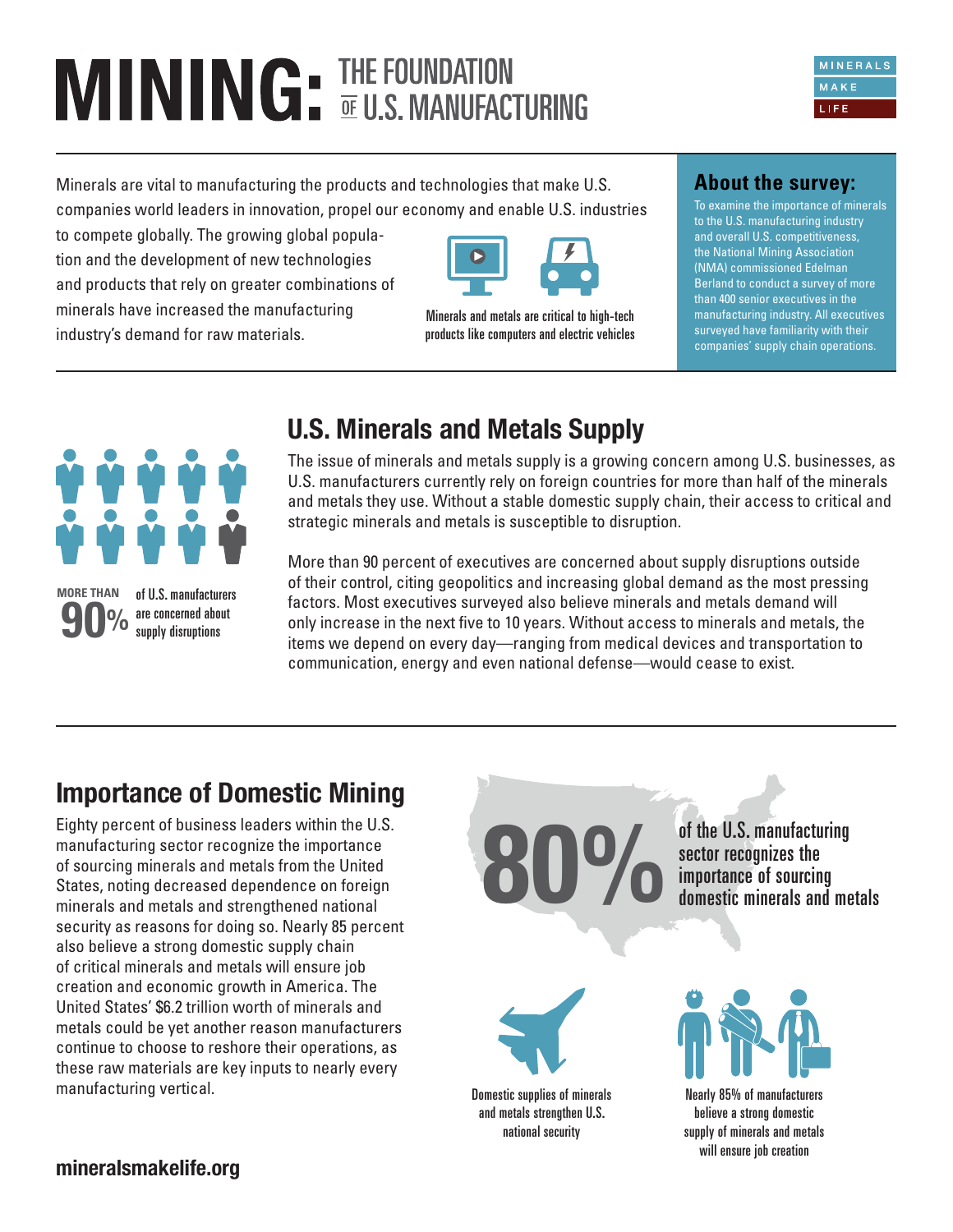# **MINING** FIHE FOUNDATION

Minerals are vital to manufacturing the products and technologies that make U.S. companies world leaders in innovation, propel our economy and enable U.S. industries

to compete globally. The growing global population and the development of new technologies and products that rely on greater combinations of minerals have increased the manufacturing industry's demand for raw materials.



Minerals and metals are critical to high-tech products like computers and electric vehicles

### **About the survey:**

To examine the importance of minerals to the U.S. manufacturing industry and overall U.S. competitiveness, the National Mining Association (NMA) commissioned Edelman Berland to conduct a survey of more than 400 senior executives in the manufacturing industry. All executives surveyed have familiarity with their companies' supply chain operations.



of U.S. manufacturers are concerned about **90%** supply disruptions **MORE THAN**

## **U.S. Minerals and Metals Supply**

The issue of minerals and metals supply is a growing concern among U.S. businesses, as U.S. manufacturers currently rely on foreign countries for more than half of the minerals and metals they use. Without a stable domestic supply chain, their access to critical and strategic minerals and metals is susceptible to disruption.

More than 90 percent of executives are concerned about supply disruptions outside of their control, citing geopolitics and increasing global demand as the most pressing factors. Most executives surveyed also believe minerals and metals demand will only increase in the next five to 10 years. Without access to minerals and metals, the items we depend on every day—ranging from medical devices and transportation to communication, energy and even national defense—would cease to exist.

### **Importance of Domestic Mining**

Eighty percent of business leaders within the U.S. manufacturing sector recognize the importance of sourcing minerals and metals from the United States, noting decreased dependence on foreign minerals and metals and strengthened national security as reasons for doing so. Nearly 85 percent also believe a strong domestic supply chain of critical minerals and metals will ensure job creation and economic growth in America. The United States' \$6.2 trillion worth of minerals and metals could be yet another reason manufacturers continue to choose to reshore their operations, as these raw materials are key inputs to nearly every manufacturing vertical. The control of the control of minerals control of minerals

of the U.S. manufacturing sector recognizes the<br>importance of sourcing **800%** of the U.S. manufacturing<br>sector recognizes the<br>domestic minerals and metals

and metals strengthen U.S. national security



Nearly 85% of manufacturers believe a strong domestic supply of minerals and metals will ensure job creation

**mineralsmakelife.org**